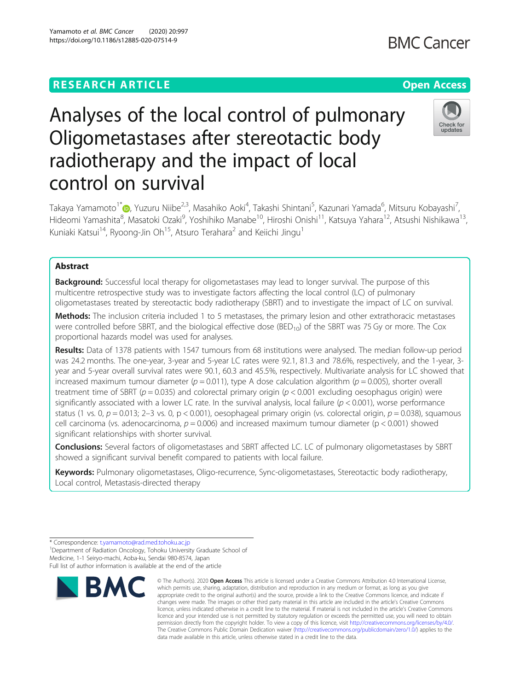## **RESEARCH ARTICLE Example 2014 12:30 The Contract of Contract ACCESS**

# Analyses of the local control of pulmonary Oligometastases after stereotactic body radiotherapy and the impact of local control on survival

Takaya Yamamoto<sup>1[\\*](http://orcid.org/0000-0003-3562-1037)</sup>@, Yuzuru Niibe<sup>2,3</sup>, Masahiko Aoki<sup>4</sup>, Takashi Shintani<sup>5</sup>, Kazunari Yamada<sup>6</sup>, Mitsuru Kobayashi<sup>7</sup> , Hideomi Yamashita<sup>8</sup>, Masatoki Ozaki<sup>9</sup>, Yoshihiko Manabe<sup>10</sup>, Hiroshi Onishi<sup>11</sup>, Katsuya Yahara<sup>12</sup>, Atsushi Nishikawa<sup>13</sup>, Kuniaki Katsui<sup>14</sup>, Ryoong-Jin Oh<sup>15</sup>, Atsuro Terahara<sup>2</sup> and Keiichi Jingu<sup>1</sup>

## Abstract

**Background:** Successful local therapy for oligometastases may lead to longer survival. The purpose of this multicentre retrospective study was to investigate factors affecting the local control (LC) of pulmonary oligometastases treated by stereotactic body radiotherapy (SBRT) and to investigate the impact of LC on survival.

Methods: The inclusion criteria included 1 to 5 metastases, the primary lesion and other extrathoracic metastases were controlled before SBRT, and the biological effective dose ( $BED_{10}$ ) of the SBRT was 75 Gy or more. The Cox proportional hazards model was used for analyses.

Results: Data of 1378 patients with 1547 tumours from 68 institutions were analysed. The median follow-up period was 24.2 months. The one-year, 3-year and 5-year LC rates were 92.1, 81.3 and 78.6%, respectively, and the 1-year, 3 year and 5-year overall survival rates were 90.1, 60.3 and 45.5%, respectively. Multivariate analysis for LC showed that increased maximum tumour diameter ( $p = 0.011$ ), type A dose calculation algorithm ( $p = 0.005$ ), shorter overall treatment time of SBRT ( $p = 0.035$ ) and colorectal primary origin ( $p < 0.001$  excluding oesophagus origin) were significantly associated with a lower LC rate. In the survival analysis, local failure ( $p < 0.001$ ), worse performance status (1 vs. 0,  $p = 0.013$ ; 2-3 vs. 0,  $p < 0.001$ ), oesophageal primary origin (vs. colorectal origin,  $p = 0.038$ ), squamous cell carcinoma (vs. adenocarcinoma,  $p = 0.006$ ) and increased maximum tumour diameter ( $p < 0.001$ ) showed significant relationships with shorter survival.

Conclusions: Several factors of oligometastases and SBRT affected LC. LC of pulmonary oligometastases by SBRT showed a significant survival benefit compared to patients with local failure.

Keywords: Pulmonary oligometastases, Oligo-recurrence, Sync-oligometastases, Stereotactic body radiotherapy, Local control, Metastasis-directed therapy







<sup>©</sup> The Author(s), 2020 **Open Access** This article is licensed under a Creative Commons Attribution 4.0 International License, which permits use, sharing, adaptation, distribution and reproduction in any medium or format, as long as you give appropriate credit to the original author(s) and the source, provide a link to the Creative Commons licence, and indicate if changes were made. The images or other third party material in this article are included in the article's Creative Commons licence, unless indicated otherwise in a credit line to the material. If material is not included in the article's Creative Commons licence and your intended use is not permitted by statutory regulation or exceeds the permitted use, you will need to obtain permission directly from the copyright holder. To view a copy of this licence, visit [http://creativecommons.org/licenses/by/4.0/.](http://creativecommons.org/licenses/by/4.0/) The Creative Commons Public Domain Dedication waiver [\(http://creativecommons.org/publicdomain/zero/1.0/](http://creativecommons.org/publicdomain/zero/1.0/)) applies to the data made available in this article, unless otherwise stated in a credit line to the data.

<sup>\*</sup> Correspondence: [t.yamamoto@rad.med.tohoku.ac.jp](mailto:t.yamamoto@rad.med.tohoku.ac.jp) <sup>1</sup>

<sup>&</sup>lt;sup>1</sup> Department of Radiation Oncology, Tohoku University Graduate School of Medicine, 1-1 Seiryo-machi, Aoba-ku, Sendai 980-8574, Japan Full list of author information is available at the end of the article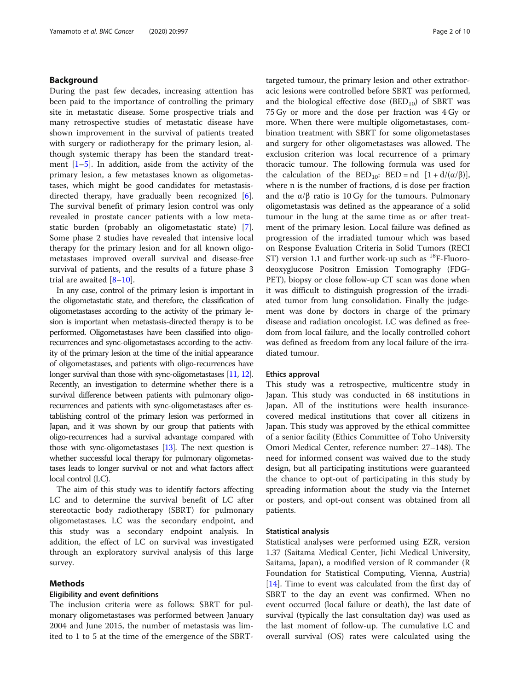## Background

During the past few decades, increasing attention has been paid to the importance of controlling the primary site in metastatic disease. Some prospective trials and many retrospective studies of metastatic disease have shown improvement in the survival of patients treated with surgery or radiotherapy for the primary lesion, although systemic therapy has been the standard treatment  $[1-5]$  $[1-5]$  $[1-5]$  $[1-5]$  $[1-5]$ . In addition, aside from the activity of the primary lesion, a few metastases known as oligometastases, which might be good candidates for metastasis-directed therapy, have gradually been recognized [\[6](#page-8-0)]. The survival benefit of primary lesion control was only revealed in prostate cancer patients with a low metastatic burden (probably an oligometastatic state) [\[7](#page-8-0)]. Some phase 2 studies have revealed that intensive local therapy for the primary lesion and for all known oligometastases improved overall survival and disease-free survival of patients, and the results of a future phase 3 trial are awaited  $[8-10]$  $[8-10]$  $[8-10]$  $[8-10]$  $[8-10]$ .

In any case, control of the primary lesion is important in the oligometastatic state, and therefore, the classification of oligometastases according to the activity of the primary lesion is important when metastasis-directed therapy is to be performed. Oligometastases have been classified into oligorecurrences and sync-oligometastases according to the activity of the primary lesion at the time of the initial appearance of oligometastases, and patients with oligo-recurrences have longer survival than those with sync-oligometastases [\[11,](#page-8-0) [12\]](#page-8-0). Recently, an investigation to determine whether there is a survival difference between patients with pulmonary oligorecurrences and patients with sync-oligometastases after establishing control of the primary lesion was performed in Japan, and it was shown by our group that patients with oligo-recurrences had a survival advantage compared with those with sync-oligometastases [[13\]](#page-8-0). The next question is whether successful local therapy for pulmonary oligometastases leads to longer survival or not and what factors affect local control (LC).

The aim of this study was to identify factors affecting LC and to determine the survival benefit of LC after stereotactic body radiotherapy (SBRT) for pulmonary oligometastases. LC was the secondary endpoint, and this study was a secondary endpoint analysis. In addition, the effect of LC on survival was investigated through an exploratory survival analysis of this large survey.

#### Methods

## Eligibility and event definitions

The inclusion criteria were as follows: SBRT for pulmonary oligometastases was performed between January 2004 and June 2015, the number of metastasis was limited to 1 to 5 at the time of the emergence of the SBRT- targeted tumour, the primary lesion and other extrathoracic lesions were controlled before SBRT was performed, and the biological effective dose  $(BED_{10})$  of SBRT was 75 Gy or more and the dose per fraction was 4 Gy or more. When there were multiple oligometastases, combination treatment with SBRT for some oligometastases and surgery for other oligometastases was allowed. The exclusion criterion was local recurrence of a primary thoracic tumour. The following formula was used for the calculation of the BED<sub>10</sub>: BED = nd  $[1 + d/(\alpha/\beta)]$ , where n is the number of fractions, d is dose per fraction and the  $\alpha/\beta$  ratio is 10 Gy for the tumours. Pulmonary oligometastasis was defined as the appearance of a solid tumour in the lung at the same time as or after treatment of the primary lesion. Local failure was defined as progression of the irradiated tumour which was based on Response Evaluation Criteria in Solid Tumors (RECI ST) version 1.1 and further work-up such as  $^{18}$ F-Fluorodeoxyglucose Positron Emission Tomography (FDG-PET), biopsy or close follow-up CT scan was done when it was difficult to distinguish progression of the irradiated tumor from lung consolidation. Finally the judgement was done by doctors in charge of the primary disease and radiation oncologist. LC was defined as freedom from local failure, and the locally controlled cohort was defined as freedom from any local failure of the irradiated tumour.

#### Ethics approval

This study was a retrospective, multicentre study in Japan. This study was conducted in 68 institutions in Japan. All of the institutions were health insurancecovered medical institutions that cover all citizens in Japan. This study was approved by the ethical committee of a senior facility (Ethics Committee of Toho University Omori Medical Center, reference number: 27–148). The need for informed consent was waived due to the study design, but all participating institutions were guaranteed the chance to opt-out of participating in this study by spreading information about the study via the Internet or posters, and opt-out consent was obtained from all patients.

#### Statistical analysis

Statistical analyses were performed using EZR, version 1.37 (Saitama Medical Center, Jichi Medical University, Saitama, Japan), a modified version of R commander (R Foundation for Statistical Computing, Vienna, Austria) [[14\]](#page-8-0). Time to event was calculated from the first day of SBRT to the day an event was confirmed. When no event occurred (local failure or death), the last date of survival (typically the last consultation day) was used as the last moment of follow-up. The cumulative LC and overall survival (OS) rates were calculated using the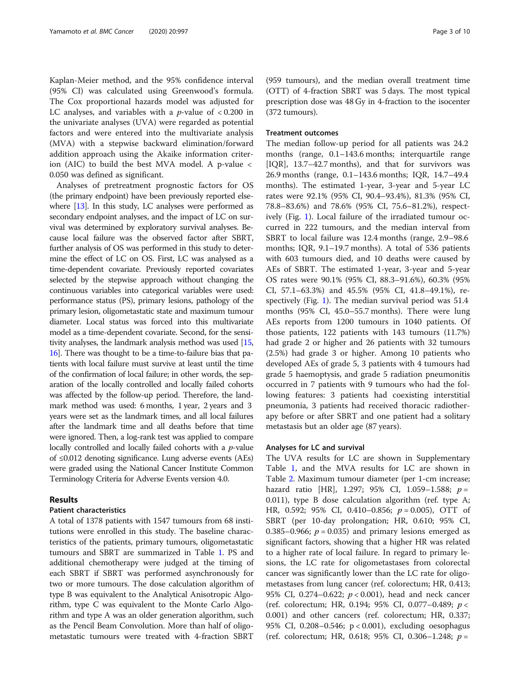Kaplan-Meier method, and the 95% confidence interval (95% CI) was calculated using Greenwood's formula. The Cox proportional hazards model was adjusted for LC analyses, and variables with a *p*-value of  $< 0.200$  in the univariate analyses (UVA) were regarded as potential factors and were entered into the multivariate analysis (MVA) with a stepwise backward elimination/forward addition approach using the Akaike information criterion (AIC) to build the best MVA model. A p-value < 0.050 was defined as significant.

Analyses of pretreatment prognostic factors for OS (the primary endpoint) have been previously reported elsewhere [\[13\]](#page-8-0). In this study, LC analyses were performed as secondary endpoint analyses, and the impact of LC on survival was determined by exploratory survival analyses. Because local failure was the observed factor after SBRT, further analysis of OS was performed in this study to determine the effect of LC on OS. First, LC was analysed as a time-dependent covariate. Previously reported covariates selected by the stepwise approach without changing the continuous variables into categorical variables were used: performance status (PS), primary lesions, pathology of the primary lesion, oligometastatic state and maximum tumour diameter. Local status was forced into this multivariate model as a time-dependent covariate. Second, for the sensitivity analyses, the landmark analysis method was used [\[15](#page-8-0), [16](#page-8-0)]. There was thought to be a time-to-failure bias that patients with local failure must survive at least until the time of the confirmation of local failure; in other words, the separation of the locally controlled and locally failed cohorts was affected by the follow-up period. Therefore, the landmark method was used: 6 months, 1 year, 2 years and 3 years were set as the landmark times, and all local failures after the landmark time and all deaths before that time were ignored. Then, a log-rank test was applied to compare locally controlled and locally failed cohorts with a *p*-value of ≤0.012 denoting significance. Lung adverse events (AEs) were graded using the National Cancer Institute Common Terminology Criteria for Adverse Events version 4.0.

## Results

#### Patient characteristics

A total of 1378 patients with 1547 tumours from 68 institutions were enrolled in this study. The baseline characteristics of the patients, primary tumours, oligometastatic tumours and SBRT are summarized in Table [1.](#page-3-0) PS and additional chemotherapy were judged at the timing of each SBRT if SBRT was performed asynchronously for two or more tumours. The dose calculation algorithm of type B was equivalent to the Analytical Anisotropic Algorithm, type C was equivalent to the Monte Carlo Algorithm and type A was an older generation algorithm, such as the Pencil Beam Convolution. More than half of oligometastatic tumours were treated with 4-fraction SBRT

(959 tumours), and the median overall treatment time (OTT) of 4-fraction SBRT was 5 days. The most typical prescription dose was 48 Gy in 4-fraction to the isocenter (372 tumours).

## Treatment outcomes

The median follow-up period for all patients was 24.2 months (range, 0.1–143.6 months; interquartile range [IQR], 13.7–42.7 months), and that for survivors was 26.9 months (range, 0.1–143.6 months; IQR, 14.7–49.4 months). The estimated 1-year, 3-year and 5-year LC rates were 92.1% (95% CI, 90.4–93.4%), 81.3% (95% CI, 78.8–83.6%) and 78.6% (95% CI, 75.6–81.2%), respectively (Fig. [1\)](#page-5-0). Local failure of the irradiated tumour occurred in 222 tumours, and the median interval from SBRT to local failure was 12.4 months (range, 2.9–98.6 months; IQR, 9.1–19.7 months). A total of 536 patients with 603 tumours died, and 10 deaths were caused by AEs of SBRT. The estimated 1-year, 3-year and 5-year OS rates were 90.1% (95% CI, 88.3–91.6%), 60.3% (95% CI, 57.1–63.3%) and 45.5% (95% CI, 41.8–49.1%), respectively (Fig. [1\)](#page-5-0). The median survival period was 51.4 months (95% CI, 45.0–55.7 months). There were lung AEs reports from 1200 tumours in 1040 patients. Of those patients, 122 patients with 143 tumours (11.7%) had grade 2 or higher and 26 patients with 32 tumours (2.5%) had grade 3 or higher. Among 10 patients who developed AEs of grade 5, 3 patients with 4 tumours had grade 5 haemoptysis, and grade 5 radiation pneumonitis occurred in 7 patients with 9 tumours who had the following features: 3 patients had coexisting interstitial pneumonia, 3 patients had received thoracic radiotherapy before or after SBRT and one patient had a solitary metastasis but an older age (87 years).

## Analyses for LC and survival

The UVA results for LC are shown in Supplementary Table [1](#page-7-0), and the MVA results for LC are shown in Table [2.](#page-6-0) Maximum tumour diameter (per 1-cm increase; hazard ratio [HR], 1.297; 95% CI, 1.059-1.588;  $p =$ 0.011), type B dose calculation algorithm (ref. type A; HR, 0.592; 95% CI, 0.410–0.856;  $p = 0.005$ ), OTT of SBRT (per 10-day prolongation; HR, 0.610; 95% CI, 0.385–0.966;  $p = 0.035$ ) and primary lesions emerged as significant factors, showing that a higher HR was related to a higher rate of local failure. In regard to primary lesions, the LC rate for oligometastases from colorectal cancer was significantly lower than the LC rate for oligometastases from lung cancer (ref. colorectum; HR, 0.413; 95% CI, 0.274–0.622; p < 0.001), head and neck cancer (ref. colorectum; HR, 0.194; 95% CI, 0.077–0.489; p < 0.001) and other cancers (ref. colorectum; HR, 0.337; 95% CI, 0.208–0.546; p < 0.001), excluding oesophagus (ref. colorectum; HR, 0.618; 95% CI, 0.306–1.248;  $p =$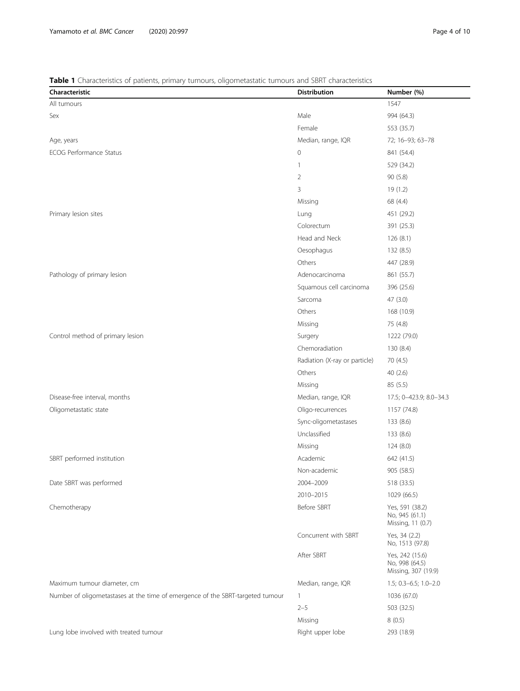## <span id="page-3-0"></span>Table 1 Characteristics of patients, primary tumours, oligometastatic tumours and SBRT characteristics

| Characteristic                                                                 | <b>Distribution</b>           | Number (%)                                               |
|--------------------------------------------------------------------------------|-------------------------------|----------------------------------------------------------|
| All tumours                                                                    |                               | 1547                                                     |
| Sex                                                                            | Male                          | 994 (64.3)                                               |
|                                                                                | Female                        | 553 (35.7)                                               |
| Age, years                                                                     | Median, range, IQR            | 72; 16-93; 63-78                                         |
| <b>ECOG Performance Status</b>                                                 | $\mathbf 0$                   | 841 (54.4)                                               |
|                                                                                | 1                             | 529 (34.2)                                               |
|                                                                                | 2                             | 90(5.8)                                                  |
|                                                                                | 3                             | 19(1.2)                                                  |
|                                                                                | Missing                       | 68 (4.4)                                                 |
| Primary lesion sites                                                           | Lung                          | 451 (29.2)                                               |
|                                                                                | Colorectum                    | 391 (25.3)                                               |
|                                                                                | Head and Neck                 | 126(8.1)                                                 |
|                                                                                | Oesophagus                    | 132 (8.5)                                                |
|                                                                                | Others                        | 447 (28.9)                                               |
| Pathology of primary lesion                                                    | Adenocarcinoma                | 861 (55.7)                                               |
|                                                                                | Squamous cell carcinoma       | 396 (25.6)                                               |
|                                                                                | Sarcoma                       | 47(3.0)                                                  |
|                                                                                | Others                        | 168 (10.9)                                               |
|                                                                                | Missing                       | 75 (4.8)                                                 |
| Control method of primary lesion                                               | Surgery                       | 1222 (79.0)                                              |
|                                                                                | Chemoradiation                | 130 (8.4)                                                |
|                                                                                | Radiation (X-ray or particle) | 70 (4.5)                                                 |
|                                                                                | Others                        | 40(2.6)                                                  |
|                                                                                | Missing                       | 85(5.5)                                                  |
| Disease-free interval, months                                                  | Median, range, IQR            | 17.5; 0-423.9; 8.0-34.3                                  |
| Oligometastatic state                                                          | Oligo-recurrences             | 1157 (74.8)                                              |
|                                                                                | Sync-oligometastases          | 133 (8.6)                                                |
|                                                                                | Unclassified                  | 133 (8.6)                                                |
|                                                                                | Missing                       | 124(8.0)                                                 |
| SBRT performed institution                                                     | Academic                      | 642 (41.5)                                               |
|                                                                                | Non-academic                  | 905 (58.5)                                               |
| Date SBRT was performed                                                        | 2004-2009                     | 518 (33.5)                                               |
|                                                                                | 2010-2015                     | 1029 (66.5)                                              |
| Chemotherapy                                                                   | Before SBRT                   | Yes, 591 (38.2)<br>No, 945 (61.1)<br>Missing, 11 (0.7)   |
|                                                                                | Concurrent with SBRT          | Yes, 34 (2.2)<br>No, 1513 (97.8)                         |
|                                                                                | After SBRT                    | Yes, 242 (15.6)<br>No, 998 (64.5)<br>Missing, 307 (19.9) |
| Maximum tumour diameter, cm                                                    | Median, range, IQR            | $1.5; 0.3 - 6.5; 1.0 - 2.0$                              |
| Number of oligometastases at the time of emergence of the SBRT-targeted tumour | 1                             | 1036 (67.0)                                              |
|                                                                                | $2 - 5$                       | 503 (32.5)                                               |
|                                                                                | Missing                       | 8(0.5)                                                   |
| Lung lobe involved with treated tumour                                         | Right upper lobe              | 293 (18.9)                                               |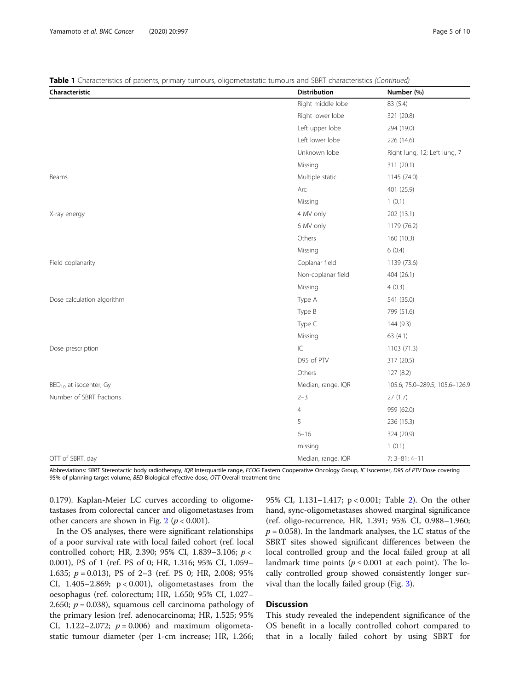Table 1 Characteristics of patients, primary tumours, oligometastatic tumours and SBRT characteristics (Continued)

| Characteristic                     | <b>Distribution</b> | Number (%)                     |
|------------------------------------|---------------------|--------------------------------|
|                                    | Right middle lobe   | 83 (5.4)                       |
|                                    | Right lower lobe    | 321 (20.8)                     |
|                                    | Left upper lobe     | 294 (19.0)                     |
|                                    | Left lower lobe     | 226 (14.6)                     |
|                                    | Unknown lobe        | Right lung, 12; Left lung, 7   |
|                                    | Missing             | 311 (20.1)                     |
| Beams                              | Multiple static     | 1145 (74.0)                    |
|                                    | Arc                 | 401 (25.9)                     |
|                                    | Missing             | 1(0.1)                         |
| X-ray energy                       | 4 MV only           | 202 (13.1)                     |
|                                    | 6 MV only           | 1179 (76.2)                    |
|                                    | Others              | 160 (10.3)                     |
|                                    | Missing             | 6(0.4)                         |
| Field coplanarity                  | Coplanar field      | 1139 (73.6)                    |
|                                    | Non-coplanar field  | 404 (26.1)                     |
|                                    | Missing             | 4(0.3)                         |
| Dose calculation algorithm         | Type A              | 541 (35.0)                     |
|                                    | Type B              | 799 (51.6)                     |
|                                    | Type C              | 144(9.3)                       |
|                                    | Missing             | 63 (4.1)                       |
| Dose prescription                  | ${\sf IC}$          | 1103 (71.3)                    |
|                                    | D95 of PTV          | 317 (20.5)                     |
|                                    | Others              | 127(8.2)                       |
| BED <sub>10</sub> at isocenter, Gy | Median, range, IQR  | 105.6; 75.0-289.5; 105.6-126.9 |
| Number of SBRT fractions           | $2 - 3$             | 27(1.7)                        |
|                                    | $\overline{4}$      | 959 (62.0)                     |
|                                    | 5                   | 236 (15.3)                     |
|                                    | $6 - 16$            | 324 (20.9)                     |
|                                    | missing             | 1(0.1)                         |
| OTT of SBRT, day                   | Median, range, IQR  | $7; 3 - 81; 4 - 11$            |

Abbreviations: SBRT Stereotactic body radiotherapy, IQR Interquartile range, ECOG Eastern Cooperative Oncology Group, IC Isocenter, D95 of PTV Dose covering 95% of planning target volume, BED Biological effective dose, OTT Overall treatment time

0.179). Kaplan-Meier LC curves according to oligometastases from colorectal cancer and oligometastases from other cancers are shown in Fig. [2](#page-5-0) ( $p < 0.001$ ).

In the OS analyses, there were significant relationships of a poor survival rate with local failed cohort (ref. local controlled cohort; HR, 2.390; 95% CI, 1.839–3.106; p < 0.001), PS of 1 (ref. PS of 0; HR, 1.316; 95% CI, 1.059– 1.635;  $p = 0.013$ ), PS of 2–3 (ref. PS 0; HR, 2.008; 95% CI,  $1.405-2.869$ ;  $p < 0.001$ ), oligometastases from the oesophagus (ref. colorectum; HR, 1.650; 95% CI, 1.027– 2.650;  $p = 0.038$ ), squamous cell carcinoma pathology of the primary lesion (ref. adenocarcinoma; HR, 1.525; 95% CI, 1.122–2.072;  $p = 0.006$ ) and maximum oligometastatic tumour diameter (per 1-cm increase; HR, 1.266;

95% CI, 1.131–1.417; p < 0.001; Table [2\)](#page-6-0). On the other hand, sync-oligometastases showed marginal significance (ref. oligo-recurrence, HR, 1.391; 95% CI, 0.988–1.960;  $p = 0.058$ ). In the landmark analyses, the LC status of the SBRT sites showed significant differences between the local controlled group and the local failed group at all landmark time points ( $p \le 0.001$  at each point). The locally controlled group showed consistently longer survival than the locally failed group (Fig. [3\)](#page-7-0).

## **Discussion**

This study revealed the independent significance of the OS benefit in a locally controlled cohort compared to that in a locally failed cohort by using SBRT for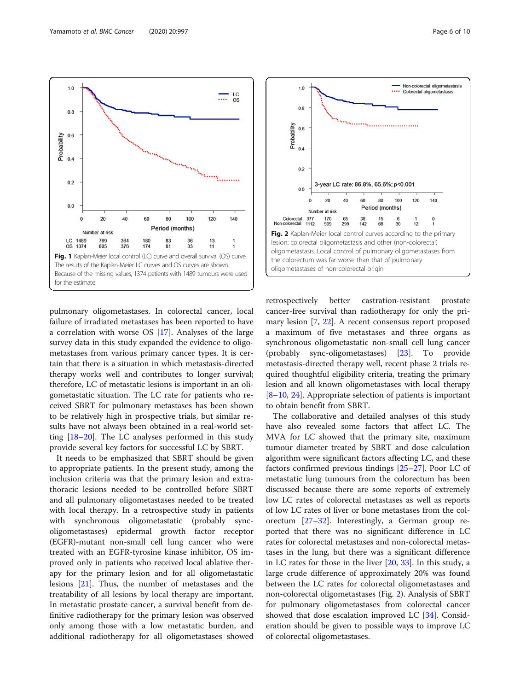

80

83

81

Period (months)

100

36

33

120

13

 $11$ 

140

1

 $\frac{1}{\cdots}$  LC

pulmonary oligometastases. In colorectal cancer, local failure of irradiated metastases has been reported to have a correlation with worse OS [\[17\]](#page-8-0). Analyses of the large survey data in this study expanded the evidence to oligometastases from various primary cancer types. It is certain that there is a situation in which metastasis-directed therapy works well and contributes to longer survival; therefore, LC of metastatic lesions is important in an oligometastatic situation. The LC rate for patients who received SBRT for pulmonary metastases has been shown to be relatively high in prospective trials, but similar results have not always been obtained in a real-world setting [\[18](#page-8-0)–[20\]](#page-8-0). The LC analyses performed in this study provide several key factors for successful LC by SBRT.

Fig. 1 Kaplan-Meier local control (LC) curve and overall survival (OS) curve. The results of the Kaplan-Meier LC curves and OS curves are shown. Because of the missing values, 1374 patients with 1489 tumours were used

60

180

174

for the estimate

LC 1489

OS 1374

<span id="page-5-0"></span> $1.0$ 

 $0.8$ 

 $0.0$ 

 $\mathbf{0}$ 

20

769

805

Number at risk

40

364

376

It needs to be emphasized that SBRT should be given to appropriate patients. In the present study, among the inclusion criteria was that the primary lesion and extrathoracic lesions needed to be controlled before SBRT and all pulmonary oligometastases needed to be treated with local therapy. In a retrospective study in patients with synchronous oligometastatic (probably syncoligometastases) epidermal growth factor receptor (EGFR)-mutant non-small cell lung cancer who were treated with an EGFR-tyrosine kinase inhibitor, OS improved only in patients who received local ablative therapy for the primary lesion and for all oligometastatic lesions [[21](#page-8-0)]. Thus, the number of metastases and the treatability of all lesions by local therapy are important. In metastatic prostate cancer, a survival benefit from definitive radiotherapy for the primary lesion was observed only among those with a low metastatic burden, and additional radiotherapy for all oligometastases showed



retrospectively better castration-resistant prostate cancer-free survival than radiotherapy for only the primary lesion [\[7](#page-8-0), [22](#page-8-0)]. A recent consensus report proposed a maximum of five metastases and three organs as synchronous oligometastatic non-small cell lung cancer (probably sync-oligometastases) [\[23\]](#page-8-0). To provide metastasis-directed therapy well, recent phase 2 trials required thoughtful eligibility criteria, treating the primary lesion and all known oligometastases with local therapy [[8](#page-8-0)–[10,](#page-8-0) [24](#page-8-0)]. Appropriate selection of patients is important to obtain benefit from SBRT.

The collaborative and detailed analyses of this study have also revealed some factors that affect LC. The MVA for LC showed that the primary site, maximum tumour diameter treated by SBRT and dose calculation algorithm were significant factors affecting LC, and these factors confirmed previous findings [[25](#page-9-0)–[27](#page-9-0)]. Poor LC of metastatic lung tumours from the colorectum has been discussed because there are some reports of extremely low LC rates of colorectal metastases as well as reports of low LC rates of liver or bone metastases from the colorectum  $[27-32]$  $[27-32]$  $[27-32]$  $[27-32]$  $[27-32]$ . Interestingly, a German group reported that there was no significant difference in LC rates for colorectal metastases and non-colorectal metastases in the lung, but there was a significant difference in LC rates for those in the liver [\[20,](#page-8-0) [33\]](#page-9-0). In this study, a large crude difference of approximately 20% was found between the LC rates for colorectal oligometastases and non-colorectal oligometastases (Fig. 2). Analysis of SBRT for pulmonary oligometastases from colorectal cancer showed that dose escalation improved LC [\[34](#page-9-0)]. Consideration should be given to possible ways to improve LC of colorectal oligometastases.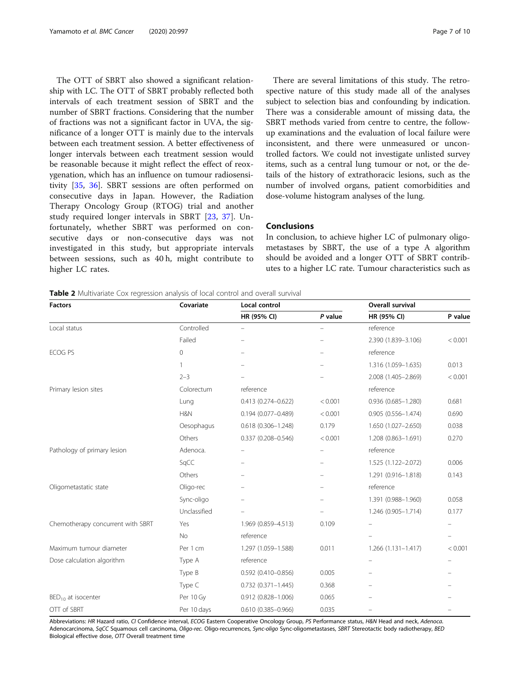<span id="page-6-0"></span>The OTT of SBRT also showed a significant relationship with LC. The OTT of SBRT probably reflected both intervals of each treatment session of SBRT and the number of SBRT fractions. Considering that the number of fractions was not a significant factor in UVA, the significance of a longer OTT is mainly due to the intervals between each treatment session. A better effectiveness of longer intervals between each treatment session would be reasonable because it might reflect the effect of reoxygenation, which has an influence on tumour radiosensitivity [\[35](#page-9-0), [36](#page-9-0)]. SBRT sessions are often performed on consecutive days in Japan. However, the Radiation Therapy Oncology Group (RTOG) trial and another study required longer intervals in SBRT [[23,](#page-8-0) [37](#page-9-0)]. Unfortunately, whether SBRT was performed on consecutive days or non-consecutive days was not investigated in this study, but appropriate intervals between sessions, such as 40 h, might contribute to higher LC rates.

There are several limitations of this study. The retrospective nature of this study made all of the analyses subject to selection bias and confounding by indication. There was a considerable amount of missing data, the SBRT methods varied from centre to centre, the followup examinations and the evaluation of local failure were inconsistent, and there were unmeasured or uncontrolled factors. We could not investigate unlisted survey items, such as a central lung tumour or not, or the details of the history of extrathoracic lesions, such as the number of involved organs, patient comorbidities and dose-volume histogram analyses of the lung.

## Conclusions

In conclusion, to achieve higher LC of pulmonary oligometastases by SBRT, the use of a type A algorithm should be avoided and a longer OTT of SBRT contributes to a higher LC rate. Tumour characteristics such as

Table 2 Multivariate Cox regression analysis of local control and overall survival

| <b>Factors</b>                    | Covariate      | Local control             |                          | Overall survival       |         |
|-----------------------------------|----------------|---------------------------|--------------------------|------------------------|---------|
|                                   |                | HR (95% CI)               | P value                  | HR (95% CI)            | P value |
| Local status                      | Controlled     | $\qquad \qquad -$         | $\overline{\phantom{0}}$ | reference              |         |
|                                   | Failed         | $\qquad \qquad -$         | $\overline{\phantom{0}}$ | 2.390 (1.839-3.106)    | < 0.001 |
| ECOG PS                           | $\overline{0}$ | $\qquad \qquad -$         | $\qquad \qquad -$        | reference              |         |
|                                   | $\mathbf{1}$   |                           |                          | 1.316 (1.059-1.635)    | 0.013   |
|                                   | $2 - 3$        |                           |                          | 2.008 (1.405-2.869)    | < 0.001 |
| Primary lesion sites              | Colorectum     | reference                 |                          | reference              |         |
|                                   | Lung           | $0.413(0.274 - 0.622)$    | < 0.001                  | 0.936 (0.685-1.280)    | 0.681   |
|                                   | H&N            | $0.194(0.077 - 0.489)$    | < 0.001                  | $0.905(0.556 - 1.474)$ | 0.690   |
|                                   | Oesophagus     | $0.618(0.306 - 1.248)$    | 0.179                    | 1.650 (1.027-2.650)    | 0.038   |
|                                   | Others         | $0.337(0.208 - 0.546)$    | < 0.001                  | 1.208 (0.863-1.691)    | 0.270   |
| Pathology of primary lesion       | Adenoca.       | $\qquad \qquad -$         | $\overline{\phantom{0}}$ | reference              |         |
|                                   | SqCC           | $\overline{\phantom{0}}$  | $\equiv$                 | 1.525 (1.122-2.072)    | 0.006   |
|                                   | Others         |                           | $\overline{\phantom{0}}$ | 1.291 (0.916-1.818)    | 0.143   |
| Oligometastatic state             | Oligo-rec      |                           | $\overline{\phantom{0}}$ | reference              |         |
|                                   | Sync-oligo     |                           |                          | 1.391 (0.988-1.960)    | 0.058   |
|                                   | Unclassified   |                           |                          | 1.246 (0.905-1.714)    | 0.177   |
| Chemotherapy concurrent with SBRT | Yes            | 1.969 (0.859-4.513)       | 0.109                    |                        |         |
|                                   | No             | reference                 |                          |                        |         |
| Maximum tumour diameter           | Per 1 cm       | 1.297 (1.059-1.588)       | 0.011                    | $1.266(1.131 - 1.417)$ | < 0.001 |
| Dose calculation algorithm        | Type A         | reference                 |                          |                        |         |
|                                   | Type B         | $0.592(0.410 - 0.856)$    | 0.005                    |                        |         |
|                                   | Type C         | $0.732$ $(0.371 - 1.445)$ | 0.368                    |                        |         |
| $BED_{10}$ at isocenter           | Per 10 Gy      | 0.912 (0.828-1.006)       | 0.065                    |                        |         |
| OTT of SBRT                       | Per 10 days    | $0.610(0.385 - 0.966)$    | 0.035                    |                        |         |

Abbreviations: HR Hazard ratio, CI Confidence interval, ECOG Eastern Cooperative Oncology Group, PS Performance status, H&N Head and neck, Adenoca. Adenocarcinoma, SqCC Squamous cell carcinoma, Oligo-rec. Oligo-recurrences, Sync-oligo Sync-oligometastases, SBRT Stereotactic body radiotherapy, BED Biological effective dose, OTT Overall treatment time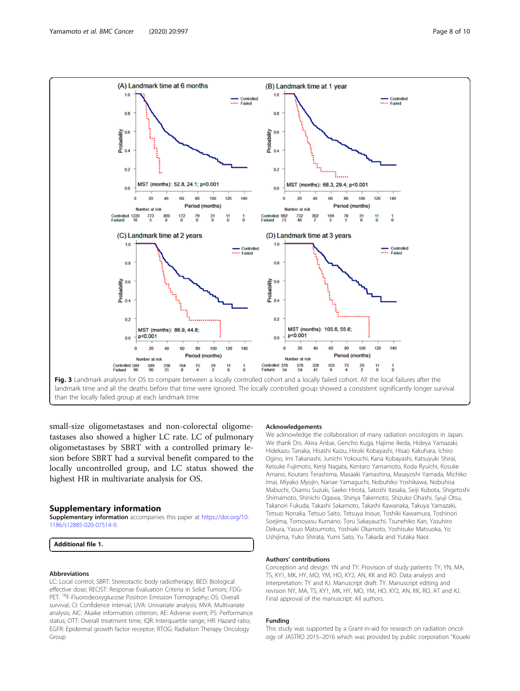<span id="page-7-0"></span>

small-size oligometastases and non-colorectal oligometastases also showed a higher LC rate. LC of pulmonary oligometastases by SBRT with a controlled primary lesion before SBRT had a survival benefit compared to the locally uncontrolled group, and LC status showed the highest HR in multivariate analysis for OS.

## Supplementary information

Supplementary information accompanies this paper at [https://doi.org/10.](https://doi.org/10.1186/s12885-020-07514-9) [1186/s12885-020-07514-9](https://doi.org/10.1186/s12885-020-07514-9).

Additional file 1.

#### Abbreviations

LC: Local control; SBRT: Stereotactic body radiotherapy; BED: Biological effective dose; RECIST: Response Evaluation Criteria in Solid Tumors; FDG-PET: <sup>18</sup>F-Fluorodeoxyglucose Positron Emission Tomography; OS: Overall survival; CI: Confidence interval; UVA: Univariate analysis; MVA: Multivariate analysis; AIC: Akaike information criterion; AE: Adverse event; PS: Performance status; OTT: Overall treatment time; IQR: Interquartile range; HR: Hazard ratio; EGFR: Epidermal growth factor receptor; RTOG: Radiation Therapy Oncology Group

#### **Acknowledgements**

We acknowledge the collaboration of many radiation oncologists in Japan. We thank Drs. Akira Anbai, Gencho Kuga, Hajime Ikeda, Hideya Yamazaki, Hidekazu Tanaka, Hisashi Kaizu, Hiroki Kobayashi, Hisao Kakuhara, Ichiro Ogino, Imi Takanashi, Junichi Yokouchi, Kana Kobayashi, Katsuyuki Shirai, Keisuke Fujimoto, Kenji Nagata, Kentaro Yamamoto, Koda Ryuichi, Kosuke Amano, Koutaro Terashima, Masaaki Yamashina, Masayoshi Yamada, Michiko Imai, Miyako Myojin, Nanae Yamaguchi, Nobuhiko Yoshikawa, Nobuhisa Mabuchi, Osamu Suzuki, Saeko Hirota, Satoshi Itasaka, Seiji Kubota, Shigetoshi Shimamoto, Shinichi Ogawa, Shinya Takemoto, Shizuko Ohashi, Syuji Otsu, Takanori Fukuda, Takashi Sakamoto, Takashi Kawanaka, Takuya Yamazaki, Tetsuo Nonaka, Tetsuo Saito, Tetsuya Inoue, Toshiki Kawamura, Toshinori Soejima, Tomoyasu Kumano, Toru Sakayauchi, Tsunehiko Kan, Yasuhiro Dekura, Yasuo Matsumoto, Yoshiaki Okamoto, Yoshisuke Matsuoka, Yo Ushijima, Yuko Shirata, Yumi Sato, Yu Takada and Yutaka Naoi.

#### Authors' contributions

Conception and design: YN and TY. Provision of study patients: TY, YN, MA, TS, KY1, MK, HY, MO, YM, HO, KY2, AN, KK and RO. Data analysis and interpretation: TY and KJ. Manuscript draft: TY. Manuscript editing and revision NY, MA, TS, KY1, MK, HY, MO, YM, HO, KY2, AN, KK, RO, AT and KJ. Final approval of the manuscript: All authors.

#### Funding

This study was supported by a Grant-in-aid for research on radiation oncology of JASTRO 2015–2016 which was provided by public corporation "Koueki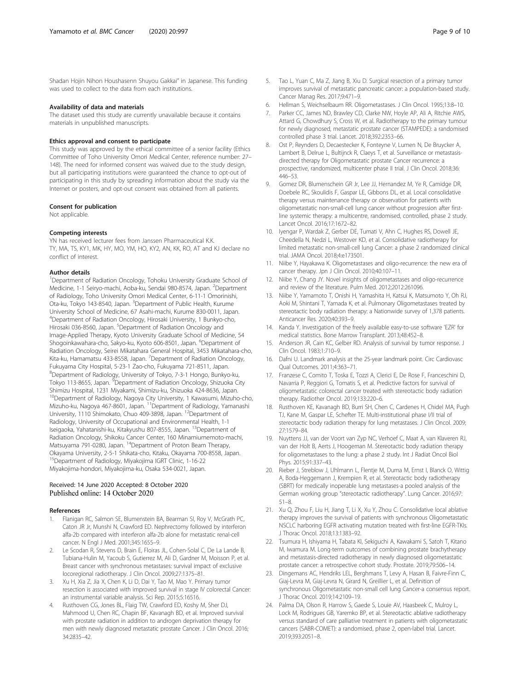<span id="page-8-0"></span>Shadan Hojin Nihon Houshasenn Shuyou Gakkai" in Japanese. This funding was used to collect to the data from each institutions.

#### Availability of data and materials

The dataset used this study are currently unavailable because it contains materials in unpublished manuscripts.

#### Ethics approval and consent to participate

This study was approved by the ethical committee of a senior facility (Ethics Committee of Toho University Omori Medical Center, reference number: 27– 148). The need for informed consent was waived due to the study design, but all participating institutions were guaranteed the chance to opt-out of participating in this study by spreading information about the study via the Internet or posters, and opt-out consent was obtained from all patients.

#### Consent for publication

Not applicable.

#### Competing interests

YN has received lecturer fees from Janssen Pharmaceutical K.K. TY, MA, TS, KY1, MK, HY, MO, YM, HO, KY2, AN, KK, RO, AT and KJ declare no conflict of interest.

#### Author details

<sup>1</sup>Department of Radiation Oncology, Tohoku University Graduate School of Medicine, 1-1 Seiryo-machi, Aoba-ku, Sendai 980-8574, Japan. <sup>2</sup>Department of Radiology, Toho University Omori Medical Center, 6-11-1 Omorinishi, Ota-ku, Tokyo 143-8540, Japan. <sup>3</sup>Department of Public Health, Kurume University School of Medicine, 67 Asahi-machi, Kurume 830-0011, Japan. 4 Department of Radiation Oncology, Hirosaki University, 1 Bunkyo-cho, Hirosaki 036-8560, Japan. <sup>5</sup>Department of Radiation Oncology and Image-Applied Therapy, Kyoto University Graduate School of Medicine, 54 Shogoinkawahara-cho, Sakyo-ku, Kyoto 606-8501, Japan. <sup>6</sup>Department of Radiation Oncology, Seirei Mikatahara General Hospital, 3453 Mikatahara-cho, Kita-ku, Hamamatsu 433-8558, Japan. <sup>7</sup> Department of Radiation Oncology, Fukuyama City Hospital, 5-23-1 Zao-cho, Fukuyama 721-8511, Japan. 8 Department of Radiology, University of Tokyo, 7-3-1 Hongo, Bunkyo-ku, Tokyo 113-8655, Japan. <sup>9</sup> Department of Radiation Oncology, Shizuoka City Shimizu Hospital, 1231 Miyakami, Shimizu-ku, Shizuoka 424-8636, Japan. <sup>10</sup>Department of Radiology, Nagoya City University, 1 Kawasumi, Mizuho-cho, Mizuho-ku, Nagoya 467-8601, Japan. <sup>11</sup>Department of Radiology, Yamanashi University, 1110 Shimokato, Chuo 409-3898, Japan. 12Department of Radiology, University of Occupational and Environmental Health, 1-1 Iseigaoka, Yahatanishi-ku, Kitakyushu 807-8555, Japan. <sup>13</sup>Department of Radiation Oncology, Shikoku Cancer Center, 160 Minamiumemoto-machi, Matsuyama 791-0280, Japan. 14Department of Proton Beam Therapy, Okayama University, 2-5-1 Shikata-cho, Kitaku, Okayama 700-8558, Japan. 15Department of Radiology, Miyakojima IGRT Clinic, 1-16-22 Miyakojima-hondori, Miyakojima-ku, Osaka 534-0021, Japan.

## Received: 14 June 2020 Accepted: 8 October 2020 Published online: 14 October 2020

#### References

- 1. Flanigan RC, Salmon SE, Blumenstein BA, Bearman SI, Roy V, McGrath PC, Caton JR Jr, Munshi N, Crawford ED. Nephrectomy followed by interferon alfa-2b compared with interferon alfa-2b alone for metastatic renal-cell cancer. N Engl J Med. 2001;345:1655–9.
- Le Scodan R, Stevens D, Brain E, Floiras JL, Cohen-Solal C, De La Lande B, Tubiana-Hulin M, Yacoub S, Gutierrez M, Ali D, Gardner M, Moisson P, et al. Breast cancer with synchronous metastases: survival impact of exclusive locoregional radiotherapy. J Clin Oncol. 2009;27:1375–81.
- 3. Xu H, Xia Z, Jia X, Chen K, Li D, Dai Y, Tao M, Mao Y. Primary tumor resection is associated with improved survival in stage IV colorectal Cancer: an instrumental variable analysis. Sci Rep. 2015;5:16516.
- 4. Rusthoven CG, Jones BL, Flaig TW, Crawford ED, Koshy M, Sher DJ, Mahmood U, Chen RC, Chapin BF, Kavanagh BD, et al. Improved survival with prostate radiation in addition to androgen deprivation therapy for men with newly diagnosed metastatic prostate Cancer. J Clin Oncol. 2016; 34:2835–42.
- 5. Tao L, Yuan C, Ma Z, Jiang B, Xiu D. Surgical resection of a primary tumor improves survival of metastatic pancreatic cancer: a population-based study. Cancer Manag Res. 2017;9:471–9.
- 6. Hellman S, Weichselbaum RR. Oligometastases. J Clin Oncol. 1995;13:8–10.
- 7. Parker CC, James ND, Brawley CD, Clarke NW, Hoyle AP, Ali A, Ritchie AWS, Attard G, Chowdhury S, Cross W, et al. Radiotherapy to the primary tumour for newly diagnosed, metastatic prostate cancer (STAMPEDE): a randomised controlled phase 3 trial. Lancet. 2018;392:2353–66.
- 8. Ost P, Reynders D, Decaestecker K, Fonteyne V, Lumen N, De Bruycker A, Lambert B, Delrue L, Bultijnck R, Claeys T, et al. Surveillance or metastasisdirected therapy for Oligometastatic prostate Cancer recurrence: a prospective, randomized, multicenter phase II trial. J Clin Oncol. 2018;36: 446–53.
- 9. Gomez DR, Blumenschein GR Jr, Lee JJ, Hernandez M, Ye R, Camidge DR, Doebele RC, Skoulidis F, Gaspar LE, Gibbons DL, et al. Local consolidative therapy versus maintenance therapy or observation for patients with oligometastatic non-small-cell lung cancer without progression after firstline systemic therapy: a multicentre, randomised, controlled, phase 2 study. Lancet Oncol. 2016;17:1672–82.
- 10. Iyengar P, Wardak Z, Gerber DE, Tumati V, Ahn C, Hughes RS, Dowell JE, Cheedella N, Nedzi L, Westover KD, et al. Consolidative radiotherapy for limited metastatic non-small-cell lung Cancer: a phase 2 randomized clinical trial. JAMA Oncol. 2018;4:e173501.
- 11. Niibe Y, Hayakawa K. Oligometastases and oligo-recurrence: the new era of cancer therapy. Jpn J Clin Oncol. 2010;40:107–11.
- 12. Niibe Y, Chang JY. Novel insights of oligometastases and oligo-recurrence and review of the literature. Pulm Med. 2012;2012:261096.
- 13. Niibe Y, Yamamoto T, Onishi H, Yamashita H, Katsui K, Matsumoto Y, Oh RJ, Aoki M, Shintani T, Yamada K, et al. Pulmonary Oligometastases treated by stereotactic body radiation therapy: a Nationwide survey of 1,378 patients. Anticancer Res. 2020;40:393–9.
- 14. Kanda Y. Investigation of the freely available easy-to-use software 'EZR' for medical statistics. Bone Marrow Transplant. 2013;48:452–8.
- 15. Anderson JR, Cain KC, Gelber RD. Analysis of survival by tumor response. J Clin Oncol. 1983;1:710–9.
- 16. Dafni U. Landmark analysis at the 25-year landmark point. Circ Cardiovasc Qual Outcomes. 2011;4:363–71.
- 17. Franzese C, Comito T, Toska E, Tozzi A, Clerici E, De Rose F, Franceschini D, Navarria P, Reggiori G, Tomatis S, et al. Predictive factors for survival of oligometastatic colorectal cancer treated with stereotactic body radiation therapy. Radiother Oncol. 2019;133:220–6.
- 18. Rusthoven KE, Kavanagh BD, Burri SH, Chen C, Cardenes H, Chidel MA, Pugh TJ, Kane M, Gaspar LE, Schefter TE. Multi-institutional phase I/II trial of stereotactic body radiation therapy for lung metastases. J Clin Oncol. 2009; 27:1579–84.
- 19. Nuyttens JJ, van der Voort van Zyp NC, Verhoef C, Maat A, van Klaveren RJ, van der Holt B, Aerts J, Hoogeman M. Stereotactic body radiation therapy for oligometastases to the lung: a phase 2 study. Int J Radiat Oncol Biol Phys. 2015;91:337–43.
- 20. Rieber J, Streblow J, Uhlmann L, Flentje M, Duma M, Ernst I, Blanck O, Wittig A, Boda-Heggemann J, Krempien R, et al. Stereotactic body radiotherapy (SBRT) for medically inoperable lung metastases-a pooled analysis of the German working group "stereotactic radiotherapy". Lung Cancer. 2016;97: 51–8.
- 21. Xu Q, Zhou F, Liu H, Jiang T, Li X, Xu Y, Zhou C. Consolidative local ablative therapy improves the survival of patients with synchronous Oligometastatic NSCLC harboring EGFR activating mutation treated with first-line EGFR-TKIs. J Thorac Oncol. 2018;13:1383–92.
- 22. Tsumura H, Ishiyama H, Tabata KI, Sekiguchi A, Kawakami S, Satoh T, Kitano M, Iwamura M. Long-term outcomes of combining prostate brachytherapy and metastasis-directed radiotherapy in newly diagnosed oligometastatic prostate cancer: a retrospective cohort study. Prostate. 2019;79:506–14.
- 23. Dingemans AC, Hendriks LEL, Berghmans T, Levy A, Hasan B, Faivre-Finn C, Giaj-Levra M, Giaj-Levra N, Girard N, Greillier L, et al. Definition of synchronous Oligometastatic non-small cell lung Cancer-a consensus report. J Thorac Oncol. 2019;14:2109–19.
- 24. Palma DA, Olson R, Harrow S, Gaede S, Louie AV, Haasbeek C, Mulroy L, Lock M, Rodrigues GB, Yaremko BP, et al. Stereotactic ablative radiotherapy versus standard of care palliative treatment in patients with oligometastatic cancers (SABR-COMET): a randomised, phase 2, open-label trial. Lancet. 2019;393:2051–8.